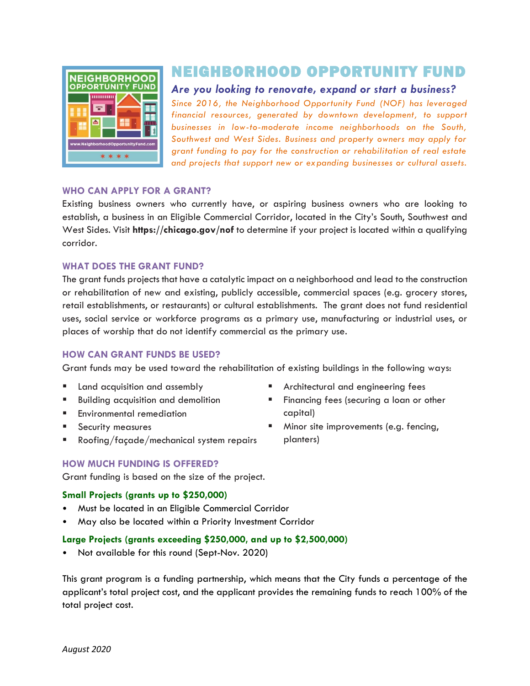

# NEIGHBORHOOD OPPORTUNITY FUND

*Are you looking to renovate, expand or start a business?*

*Since 2016, the Neighborhood Opportunity Fund (NOF) has leveraged financial resources, generated by downtown development, to support businesses in low-to-moderate income neighborhoods on the South, Southwest and West Sides. Business and property owners may apply for grant funding to pay for the construction or rehabilitation of real estate and projects that support new or expanding businesses or cultural assets.*

#### **WHO CAN APPLY FOR A GRANT?**

Existing business owners who currently have, or aspiring business owners who are looking to establish, a business in an Eligible Commercial Corridor, located in the City's South, Southwest and West Sides. Visit **https://chicago.gov/nof** to determine if your project is located within a qualifying corridor.

#### **WHAT DOES THE GRANT FUND?**

The grant funds projects that have a catalytic impact on a neighborhood and lead to the construction or rehabilitation of new and existing, publicly accessible, commercial spaces (e.g. grocery stores, retail establishments, or restaurants) or cultural establishments. The grant does not fund residential uses, social service or workforce programs as a primary use, manufacturing or industrial uses, or places of worship that do not identify commercial as the primary use.

#### **HOW CAN GRANT FUNDS BE USED?**

Grant funds may be used toward the rehabilitation of existing buildings in the following ways:

- Land acquisition and assembly
- Building acquisition and demolition
- **Environmental remediation**
- Security measures
- Roofing/façade/mechanical system repairs
- Architectural and engineering fees
- **EXECUTE:** Financing fees (securing a loan or other capital)
- Minor site improvements (e.g. fencing, planters)

## **HOW MUCH FUNDING IS OFFERED?**

Grant funding is based on the size of the project.

## **Small Projects (grants up to \$250,000)**

- Must be located in an Eligible Commercial Corridor
- May also be located within a Priority Investment Corridor

#### **Large Projects (grants exceeding \$250,000, and up to \$2,500,000)**

• Not available for this round (Sept-Nov. 2020)

This grant program is a funding partnership, which means that the City funds a percentage of the applicant's total project cost, and the applicant provides the remaining funds to reach 100% of the total project cost.